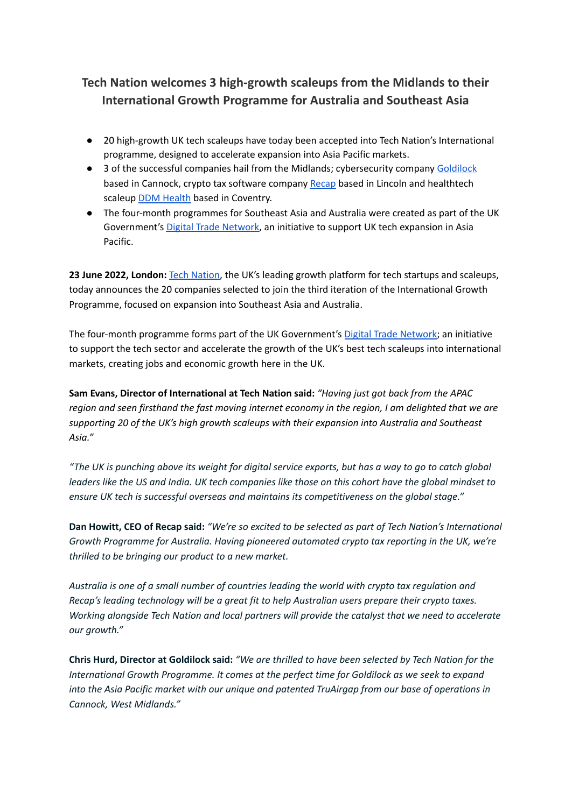# **Tech Nation welcomes 3 high-growth scaleups from the Midlands to their International Growth Programme for Australia and Southeast Asia**

- 20 high-growth UK tech scaleups have today been accepted into Tech Nation's International programme, designed to accelerate expansion into Asia Pacific markets.
- 3 of the successful companies hail from the Midlands; cybersecurity company [Goldilock](https://goldilock.com/) based in Cannock, crypto tax software company [Recap](https://recap.io/) based in Lincoln and healthtech scaleup DDM [Health](https://ddm.health/) based in Coventry.
- The four-month programmes for Southeast Asia and Australia were created as part of the UK Government's Digital Trade [Network](https://technation.io/resources/digital-trade-network-in-asia-pacific/), an initiative to support UK tech expansion in Asia Pacific.

**23 June 2022, London:** Tech [Nation](https://technation.io/), the UK's leading growth platform for tech startups and scaleups, today announces the 20 companies selected to join the third iteration of the International Growth Programme, focused on expansion into Southeast Asia and Australia.

The four-month programme forms part of the UK Government's Digital Trade [Network](https://technation.io/resources/digital-trade-network-in-asia-pacific/); an initiative to support the tech sector and accelerate the growth of the UK's best tech scaleups into international markets, creating jobs and economic growth here in the UK.

**Sam Evans, Director of International at Tech Nation said:** *"Having just got back from the APAC* region and seen firsthand the fast moving internet economy in the region, I am delighted that we are *supporting 20 of the UK's high growth scaleups with their expansion into Australia and Southeast Asia."*

"The UK is punching above its weight for digital service exports, but has a way to go to catch global leaders like the US and India. UK tech companies like those on this cohort have the global mindset to *ensure UK tech is successful overseas and maintains its competitiveness on the global stage."*

Dan Howitt, CEO of Recap said: "We're so excited to be selected as part of Tech Nation's International *Growth Programme for Australia. Having pioneered automated crypto tax reporting in the UK, we're thrilled to be bringing our product to a new market.*

*Australia is one of a small number of countries leading the world with crypto tax regulation and Recap's leading technology will be a great fit to help Australian users prepare their crypto taxes. Working alongside Tech Nation and local partners will provide the catalyst that we need to accelerate our growth."*

Chris Hurd, Director at Goldilock said: "We are thrilled to have been selected by Tech Nation for the *International Growth Programme. It comes at the perfect time for Goldilock as we seek to expand into the Asia Pacific market with our unique and patented TruAirgap from our base of operations in Cannock, West Midlands."*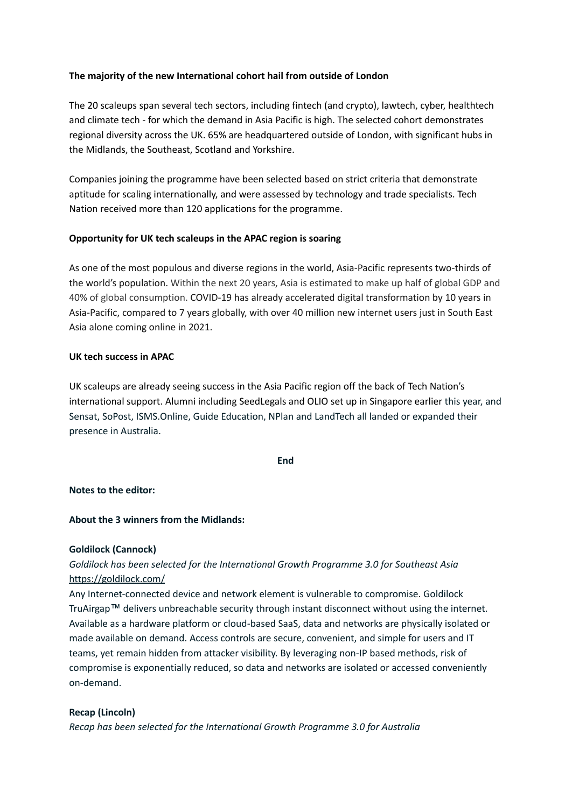# **The majority of the new International cohort hail from outside of London**

The 20 scaleups span several tech sectors, including fintech (and crypto), lawtech, cyber, healthtech and climate tech - for which the demand in Asia Pacific is high. The selected cohort demonstrates regional diversity across the UK. 65% are headquartered outside of London, with significant hubs in the Midlands, the Southeast, Scotland and Yorkshire.

Companies joining the programme have been selected based on strict criteria that demonstrate aptitude for scaling internationally, and were assessed by technology and trade specialists. Tech Nation received more than 120 applications for the programme.

# **Opportunity for UK tech scaleups in the APAC region is soaring**

As one of the most populous and diverse regions in the world, Asia-Pacific represents two-thirds of the world's population. Within the next 20 years, Asia is estimated to make up half of global GDP and 40% of global consumption. COVID-19 has already accelerated digital transformation by 10 years in Asia-Pacific, compared to 7 years globally, with over 40 million new internet users just in South East Asia alone coming online in 2021.

### **UK tech success in APAC**

UK scaleups are already seeing success in the Asia Pacific region off the back of Tech Nation's international support. Alumni including SeedLegals and OLIO set up in Singapore earlier this year, and Sensat, SoPost, ISMS.Online, Guide Education, NPlan and LandTech all landed or expanded their presence in Australia.

**End**

### **Notes to the editor:**

### **About the 3 winners from the Midlands:**

### **Goldilock (Cannock)**

# *Goldilock has been selected for the International Growth Programme 3.0 for Southeast Asia* <https://goldilock.com/>

Any Internet-connected device and network element is vulnerable to compromise. Goldilock TruAirgap™ delivers unbreachable security through instant disconnect without using the internet. Available as a hardware platform or cloud-based SaaS, data and networks are physically isolated or made available on demand. Access controls are secure, convenient, and simple for users and IT teams, yet remain hidden from attacker visibility. By leveraging non-IP based methods, risk of compromise is exponentially reduced, so data and networks are isolated or accessed conveniently on-demand.

### **Recap (Lincoln)**

*Recap has been selected for the International Growth Programme 3.0 for Australia*